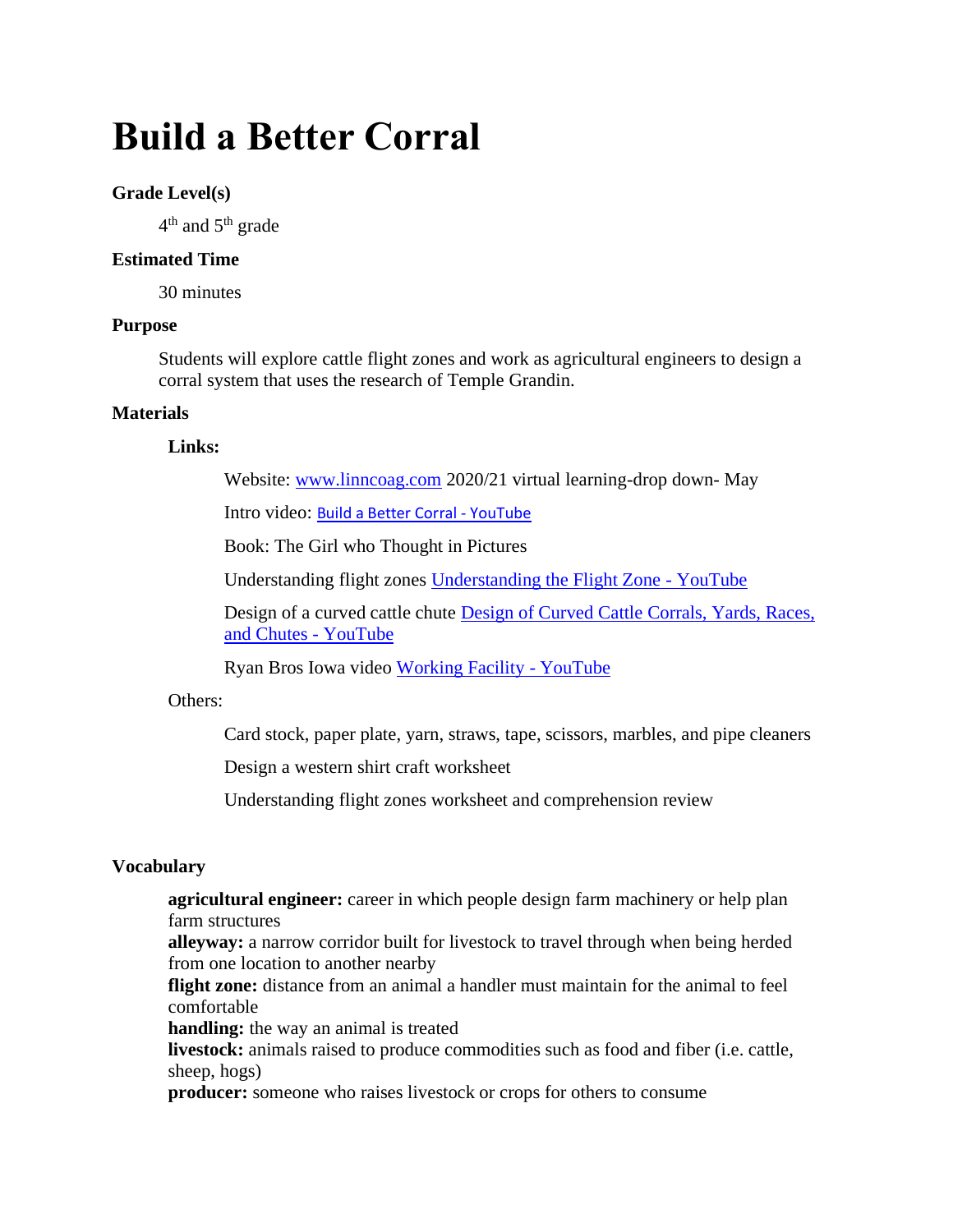# **Build a Better Corral**

# **Grade Level(s)**

 $4^{\text{th}}$  and  $5^{\text{th}}$  grade

# **Estimated Time**

30 minutes

## **Purpose**

Students will explore cattle flight zones and work as agricultural engineers to design a corral system that uses the research of Temple Grandin.

# **Materials**

## **Links:**

Website: [www.linncoag.com](http://www.linncoag.com/) 2020/21 virtual learning-drop down- May

Intro video: [Build a Better Corral -](https://www.youtube.com/watch?v=gNh6BaWTKaA) YouTube

Book: The Girl who Thought in Pictures

Understanding flight zones [Understanding the Flight Zone -](https://www.youtube.com/watch?v=Iwu8NcrI0z0) YouTube

Design of a curved cattle chute [Design of Curved Cattle Corrals, Yards, Races,](https://www.youtube.com/watch?v=EZ1VzDSmsNk)  [and Chutes -](https://www.youtube.com/watch?v=EZ1VzDSmsNk) YouTube

Ryan Bros Iowa video [Working Facility -](https://www.youtube.com/watch?v=uTyjE0tnE2Y) YouTube

# Others:

Card stock, paper plate, yarn, straws, tape, scissors, marbles, and pipe cleaners

Design a western shirt craft worksheet

Understanding flight zones worksheet and comprehension review

# **Vocabulary**

**agricultural engineer:** career in which people design farm machinery or help plan farm structures

**alleyway:** a narrow corridor built for livestock to travel through when being herded from one location to another nearby

**flight zone:** distance from an animal a handler must maintain for the animal to feel comfortable

**handling:** the way an animal is treated

**livestock:** animals raised to produce commodities such as food and fiber (i.e. cattle, sheep, hogs)

**producer:** someone who raises livestock or crops for others to consume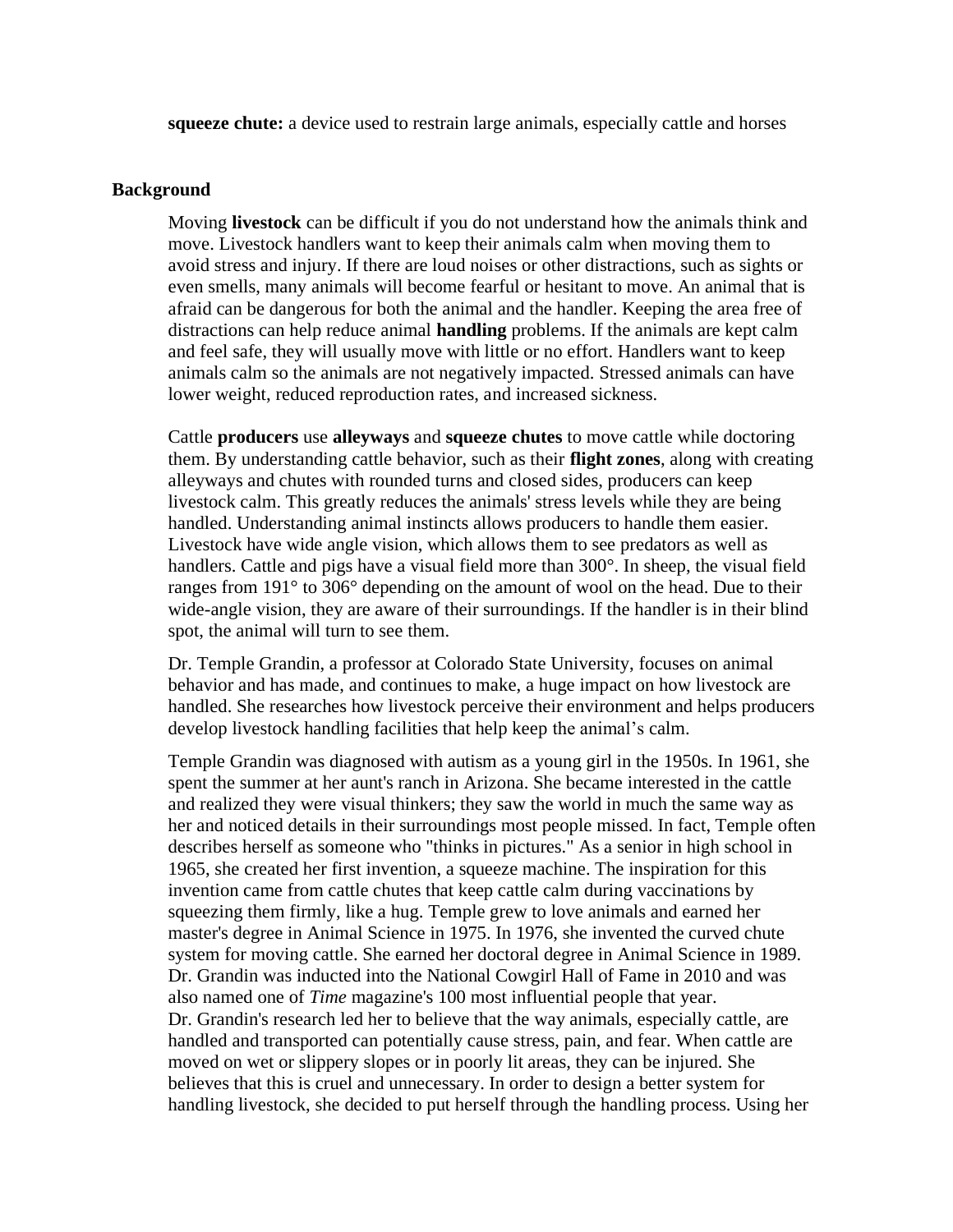**squeeze chute:** a device used to restrain large animals, especially cattle and horses

#### **Background**

Moving **livestock** can be difficult if you do not understand how the animals think and move. Livestock handlers want to keep their animals calm when moving them to avoid stress and injury. If there are loud noises or other distractions, such as sights or even smells, many animals will become fearful or hesitant to move. An animal that is afraid can be dangerous for both the animal and the handler. Keeping the area free of distractions can help reduce animal **handling** problems. If the animals are kept calm and feel safe, they will usually move with little or no effort. Handlers want to keep animals calm so the animals are not negatively impacted. Stressed animals can have lower weight, reduced reproduction rates, and increased sickness.

Cattle **producers** use **alleyways** and **squeeze chutes** to move cattle while doctoring them. By understanding cattle behavior, such as their **flight zones**, along with creating alleyways and chutes with rounded turns and closed sides, producers can keep livestock calm. This greatly reduces the animals' stress levels while they are being handled. Understanding animal instincts allows producers to handle them easier. Livestock have wide angle vision, which allows them to see predators as well as handlers. Cattle and pigs have a visual field more than 300°. In sheep, the visual field ranges from 191° to 306° depending on the amount of wool on the head. Due to their wide-angle vision, they are aware of their surroundings. If the handler is in their blind spot, the animal will turn to see them.

Dr. Temple Grandin, a professor at Colorado State University, focuses on animal behavior and has made, and continues to make, a huge impact on how livestock are handled. She researches how livestock perceive their environment and helps producers develop livestock handling facilities that help keep the animal's calm.

Temple Grandin was diagnosed with autism as a young girl in the 1950s. In 1961, she spent the summer at her aunt's ranch in Arizona. She became interested in the cattle and realized they were visual thinkers; they saw the world in much the same way as her and noticed details in their surroundings most people missed. In fact, Temple often describes herself as someone who "thinks in pictures." As a senior in high school in 1965, she created her first invention, a squeeze machine. The inspiration for this invention came from cattle chutes that keep cattle calm during vaccinations by squeezing them firmly, like a hug. Temple grew to love animals and earned her master's degree in Animal Science in 1975. In 1976, she invented the curved chute system for moving cattle. She earned her doctoral degree in Animal Science in 1989. Dr. Grandin was inducted into the National Cowgirl Hall of Fame in 2010 and was also named one of *Time* magazine's 100 most influential people that year. Dr. Grandin's research led her to believe that the way animals, especially cattle, are handled and transported can potentially cause stress, pain, and fear. When cattle are moved on wet or slippery slopes or in poorly lit areas, they can be injured. She believes that this is cruel and unnecessary. In order to design a better system for handling livestock, she decided to put herself through the handling process. Using her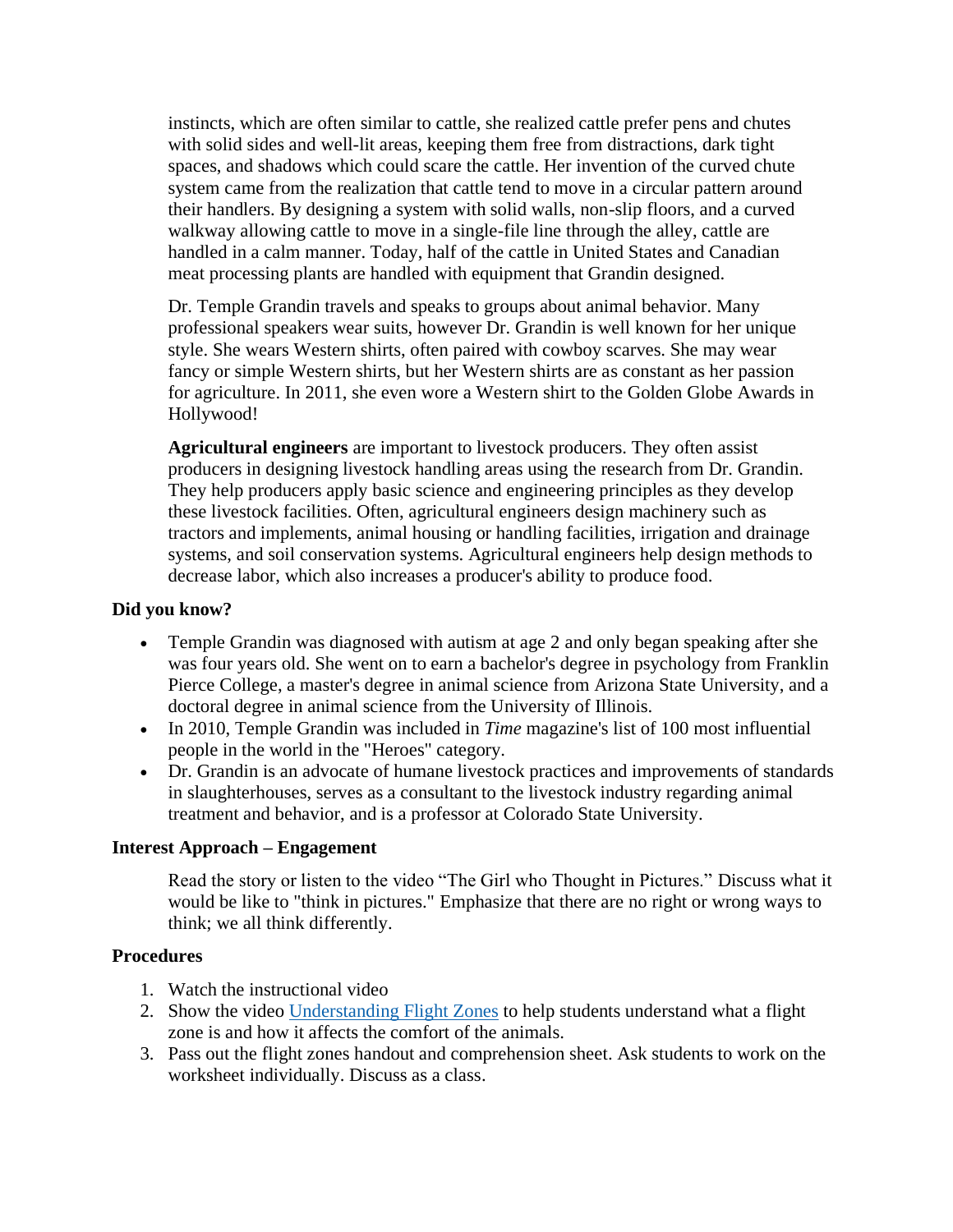instincts, which are often similar to cattle, she realized cattle prefer pens and chutes with solid sides and well-lit areas, keeping them free from distractions, dark tight spaces, and shadows which could scare the cattle. Her invention of the curved chute system came from the realization that cattle tend to move in a circular pattern around their handlers. By designing a system with solid walls, non-slip floors, and a curved walkway allowing cattle to move in a single-file line through the alley, cattle are handled in a calm manner. Today, half of the cattle in United States and Canadian meat processing plants are handled with equipment that Grandin designed.

Dr. Temple Grandin travels and speaks to groups about animal behavior. Many professional speakers wear suits, however Dr. Grandin is well known for her unique style. She wears Western shirts, often paired with cowboy scarves. She may wear fancy or simple Western shirts, but her Western shirts are as constant as her passion for agriculture. In 2011, she even wore a Western shirt to the Golden Globe Awards in Hollywood!

**Agricultural engineers** are important to livestock producers. They often assist producers in designing livestock handling areas using the research from Dr. Grandin. They help producers apply basic science and engineering principles as they develop these livestock facilities. Often, agricultural engineers design machinery such as tractors and implements, animal housing or handling facilities, irrigation and drainage systems, and soil conservation systems. Agricultural engineers help design methods to decrease labor, which also increases a producer's ability to produce food.

## **Did you know?**

- Temple Grandin was diagnosed with autism at age 2 and only began speaking after she was four years old. She went on to earn a bachelor's degree in psychology from Franklin Pierce College, a master's degree in animal science from Arizona State University, and a doctoral degree in animal science from the University of Illinois.
- In 2010, Temple Grandin was included in *Time* magazine's list of 100 most influential people in the world in the "Heroes" category.
- Dr. Grandin is an advocate of humane livestock practices and improvements of standards in slaughterhouses, serves as a consultant to the livestock industry regarding animal treatment and behavior, and is a professor at Colorado State University.

## **Interest Approach – Engagement**

Read the story or listen to the video "The Girl who Thought in Pictures." Discuss what it would be like to "think in pictures." Emphasize that there are no right or wrong ways to think; we all think differently.

#### **Procedures**

- 1. Watch the instructional video
- 2. Show the video [Understanding Flight Zones](https://www.youtube.com/watch?v=Iwu8NcrI0z0) to help students understand what a flight zone is and how it affects the comfort of the animals.
- 3. Pass out the flight zones handout and comprehension sheet. Ask students to work on the worksheet individually. Discuss as a class.